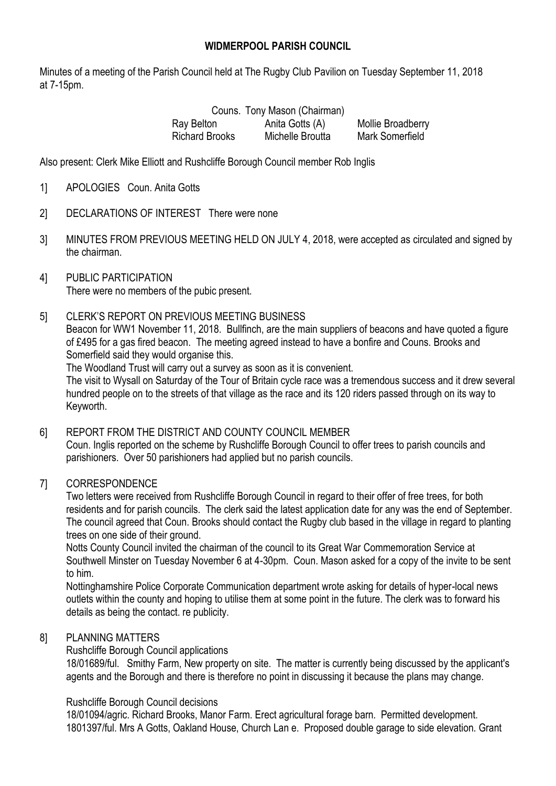## **WIDMERPOOL PARISH COUNCIL**

Minutes of a meeting of the Parish Council held at The Rugby Club Pavilion on Tuesday September 11, 2018 at 7-15pm.

> Couns. Tony Mason (Chairman) Ray Belton **Anita Gotts (A)** Mollie Broadberry Richard Brooks Michelle Broutta Mark Somerfield

Also present: Clerk Mike Elliott and Rushcliffe Borough Council member Rob Inglis

- 1] APOLOGIES Coun. Anita Gotts
- 2] DECLARATIONS OF INTEREST There were none
- 3] MINUTES FROM PREVIOUS MEETING HELD ON JULY 4, 2018, were accepted as circulated and signed by the chairman.
- 4] PUBLIC PARTICIPATION There were no members of the pubic present.
- 5] CLERK'S REPORT ON PREVIOUS MEETING BUSINESS

Beacon for WW1 November 11, 2018. Bullfinch, are the main suppliers of beacons and have quoted a figure of £495 for a gas fired beacon. The meeting agreed instead to have a bonfire and Couns. Brooks and Somerfield said they would organise this.

The Woodland Trust will carry out a survey as soon as it is convenient.

The visit to Wysall on Saturday of the Tour of Britain cycle race was a tremendous success and it drew several hundred people on to the streets of that village as the race and its 120 riders passed through on its way to Keyworth.

6] REPORT FROM THE DISTRICT AND COUNTY COUNCIL MEMBER Coun. Inglis reported on the scheme by Rushcliffe Borough Council to offer trees to parish councils and parishioners. Over 50 parishioners had applied but no parish councils.

## 7] CORRESPONDENCE

Two letters were received from Rushcliffe Borough Council in regard to their offer of free trees, for both residents and for parish councils. The clerk said the latest application date for any was the end of September. The council agreed that Coun. Brooks should contact the Rugby club based in the village in regard to planting trees on one side of their ground.

Notts County Council invited the chairman of the council to its Great War Commemoration Service at Southwell Minster on Tuesday November 6 at 4-30pm. Coun. Mason asked for a copy of the invite to be sent to him.

Nottinghamshire Police Corporate Communication department wrote asking for details of hyper-local news outlets within the county and hoping to utilise them at some point in the future. The clerk was to forward his details as being the contact. re publicity.

## 8] PLANNING MATTERS

Rushcliffe Borough Council applications

18/01689/ful. Smithy Farm, New property on site. The matter is currently being discussed by the applicant's agents and the Borough and there is therefore no point in discussing it because the plans may change.

#### Rushcliffe Borough Council decisions

18/01094/agric. Richard Brooks, Manor Farm. Erect agricultural forage barn. Permitted development. 1801397/ful. Mrs A Gotts, Oakland House, Church Lan e. Proposed double garage to side elevation. Grant